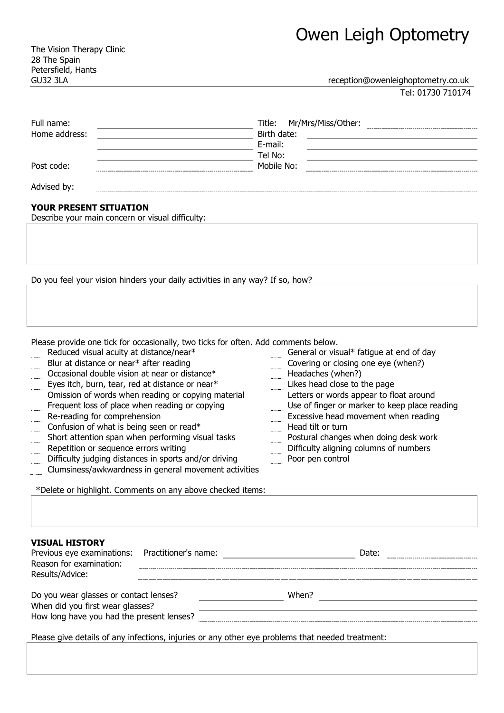The Vision Therapy Clinic 28 The Spain Petersfield, Hants

GU32 3LA reception@owenleighoptometry.co.uk

Tel: 01730 710174

| Full name:    | Title: Mr/Mrs/Miss/Other: |
|---------------|---------------------------|
| Home address: | Birth date:               |
|               | E-mail:                   |
|               | Tel No:                   |
| Post code:    | Mobile No:                |
| Advised by:   |                           |

## **YOUR PRESENT SITUATION**

Describe your main concern or visual difficulty:

Do you feel your vision hinders your daily activities in any way? If so, how?

Please provide one tick for occasionally, two ticks for often. Add comments below.

- Reduced visual acuity at distance/near\* General or visual\* fatigue at end of day
- Blur at distance or near\* after reading Covering or closing one eye (when?)
- Occasional double vision at near or distance\* Headaches (when?)<br>Eyes itch, burn, tear, red at distance or near\* Likes head close to the page
- 
- Eyes itch, burn, tear, red at distance or near\* The Suites head close to the page<br>
Omission of words when reading or copying material Letters or words appear to float around Omission of words when reading or copying material
- Frequent loss of place when reading or copying Use of finger or marker to keep place reading
- 
- Re-reading for comprehension Excessive head movement when reading
- Confusion of what is being seen or read\* Head tilt or turn<br>
Short attention span when performing visual tasks<br>
Postural changes when doing desk work Short attention span when performing visual tasks
- Repetition or sequence errors writing **Exercise 20 Separate Separate Separate Separate Separate Separate Separate Separate Separate Separate Separate Separate Separate Separate Separate Separate Separate Separate Separate**
- Difficulty judging distances in sports and/or driving Poor pen control
- Clumsiness/awkwardness in general movement activities

\*Delete or highlight. Comments on any above checked items:

**VISUAL HISTORY**

| Previous eye examinations: Practitioner's name:<br>Reason for examination:<br>Results/Advice:    |  |       | Date: |  |  |  |
|--------------------------------------------------------------------------------------------------|--|-------|-------|--|--|--|
|                                                                                                  |  |       |       |  |  |  |
|                                                                                                  |  |       |       |  |  |  |
| Do you wear glasses or contact lenses?                                                           |  | When? |       |  |  |  |
| When did you first wear glasses?                                                                 |  |       |       |  |  |  |
|                                                                                                  |  |       |       |  |  |  |
| How long have you had the present lenses?                                                        |  |       |       |  |  |  |
|                                                                                                  |  |       |       |  |  |  |
| Please give details of any infections, injuries or any other eye problems that needed treatment: |  |       |       |  |  |  |